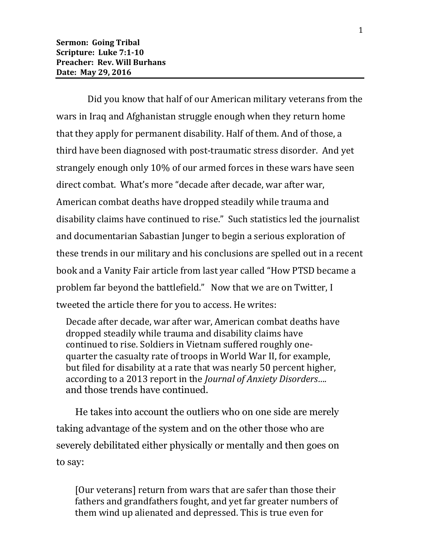Did you know that half of our American military veterans from the wars in Iraq and Afghanistan struggle enough when they return home that they apply for permanent disability. Half of them. And of those, a third have been diagnosed with post-traumatic stress disorder. And yet strangely enough only 10% of our armed forces in these wars have seen direct combat. What's more "decade after decade, war after war, American combat deaths have dropped steadily while trauma and disability claims have continued to rise." Such statistics led the journalist and documentarian Sabastian Junger to begin a serious exploration of these trends in our military and his conclusions are spelled out in a recent book and a Vanity Fair article from last year called "How PTSD became a problem far beyond the battlefield." Now that we are on Twitter, I tweeted the article there for you to access. He writes:

Decade after decade, war after war, American combat deaths have dropped steadily while trauma and disability claims have continued to rise. Soldiers in Vietnam suffered roughly onequarter the casualty rate of troops in World War II, for example, but filed for disability at a rate that was nearly 50 percent higher, according to a 2013 report in the *Journal of Anxiety Disorders….* and those trends have continued.

He takes into account the outliers who on one side are merely taking advantage of the system and on the other those who are severely debilitated either physically or mentally and then goes on to say:

[Our veterans] return from wars that are safer than those their fathers and grandfathers fought, and yet far greater numbers of them wind up alienated and depressed. This is true even for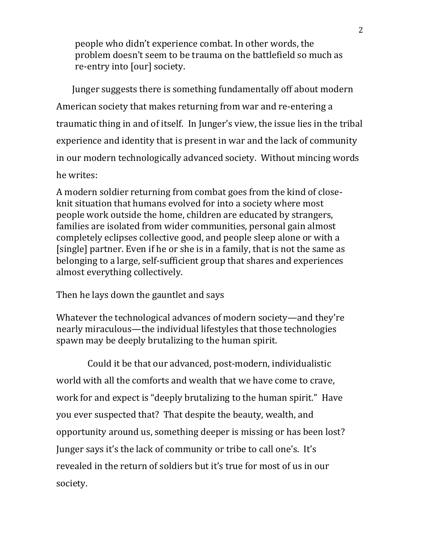people who didn't experience combat. In other words, the problem doesn't seem to be trauma on the battlefield so much as re-entry into [our] society.

Junger suggests there is something fundamentally off about modern American society that makes returning from war and re-entering a traumatic thing in and of itself. In Junger's view, the issue lies in the tribal experience and identity that is present in war and the lack of community in our modern technologically advanced society. Without mincing words he writes:

A modern soldier returning from combat goes from the kind of closeknit situation that humans evolved for into a society where most people work outside the home, children are educated by strangers, families are isolated from wider communities, personal gain almost completely eclipses collective good, and people sleep alone or with a [single] partner. Even if he or she is in a family, that is not the same as belonging to a large, self-sufficient group that shares and experiences almost everything collectively.

Then he lays down the gauntlet and says

Whatever the technological advances of modern society—and they're nearly miraculous—the individual lifestyles that those technologies spawn may be deeply brutalizing to the human spirit.

Could it be that our advanced, post-modern, individualistic world with all the comforts and wealth that we have come to crave, work for and expect is "deeply brutalizing to the human spirit." Have you ever suspected that? That despite the beauty, wealth, and opportunity around us, something deeper is missing or has been lost? Junger says it's the lack of community or tribe to call one's. It's revealed in the return of soldiers but it's true for most of us in our society.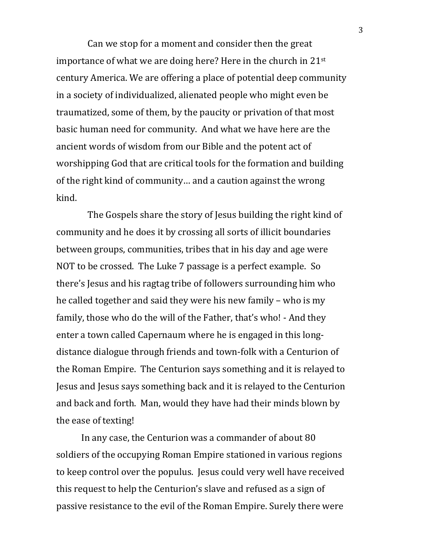Can we stop for a moment and consider then the great importance of what we are doing here? Here in the church in 21st century America. We are offering a place of potential deep community in a society of individualized, alienated people who might even be traumatized, some of them, by the paucity or privation of that most basic human need for community. And what we have here are the ancient words of wisdom from our Bible and the potent act of worshipping God that are critical tools for the formation and building of the right kind of community… and a caution against the wrong kind.

The Gospels share the story of Jesus building the right kind of community and he does it by crossing all sorts of illicit boundaries between groups, communities, tribes that in his day and age were NOT to be crossed. The Luke 7 passage is a perfect example. So there's Jesus and his ragtag tribe of followers surrounding him who he called together and said they were his new family – who is my family, those who do the will of the Father, that's who! - And they enter a town called Capernaum where he is engaged in this longdistance dialogue through friends and town-folk with a Centurion of the Roman Empire. The Centurion says something and it is relayed to Jesus and Jesus says something back and it is relayed to the Centurion and back and forth. Man, would they have had their minds blown by the ease of texting!

In any case, the Centurion was a commander of about 80 soldiers of the occupying Roman Empire stationed in various regions to keep control over the populus. Jesus could very well have received this request to help the Centurion's slave and refused as a sign of passive resistance to the evil of the Roman Empire. Surely there were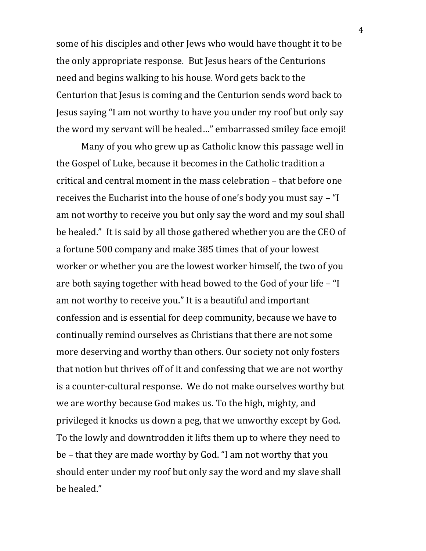some of his disciples and other Jews who would have thought it to be the only appropriate response. But Jesus hears of the Centurions need and begins walking to his house. Word gets back to the Centurion that Jesus is coming and the Centurion sends word back to Jesus saying "I am not worthy to have you under my roof but only say the word my servant will be healed…" embarrassed smiley face emoji!

Many of you who grew up as Catholic know this passage well in the Gospel of Luke, because it becomes in the Catholic tradition a critical and central moment in the mass celebration – that before one receives the Eucharist into the house of one's body you must say – "I am not worthy to receive you but only say the word and my soul shall be healed." It is said by all those gathered whether you are the CEO of a fortune 500 company and make 385 times that of your lowest worker or whether you are the lowest worker himself, the two of you are both saying together with head bowed to the God of your life – "I am not worthy to receive you." It is a beautiful and important confession and is essential for deep community, because we have to continually remind ourselves as Christians that there are not some more deserving and worthy than others. Our society not only fosters that notion but thrives off of it and confessing that we are not worthy is a counter-cultural response. We do not make ourselves worthy but we are worthy because God makes us. To the high, mighty, and privileged it knocks us down a peg, that we unworthy except by God. To the lowly and downtrodden it lifts them up to where they need to be – that they are made worthy by God. "I am not worthy that you should enter under my roof but only say the word and my slave shall be healed."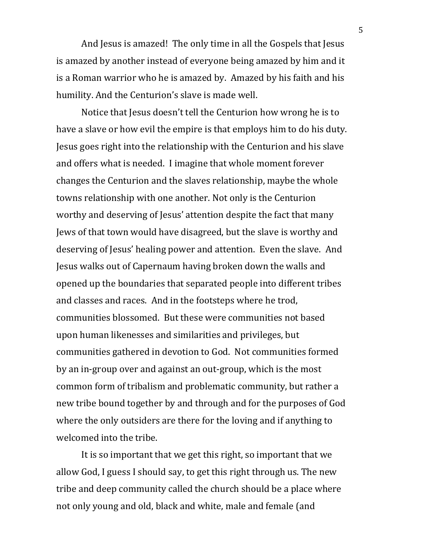And Jesus is amazed! The only time in all the Gospels that Jesus is amazed by another instead of everyone being amazed by him and it is a Roman warrior who he is amazed by. Amazed by his faith and his humility. And the Centurion's slave is made well.

Notice that Jesus doesn't tell the Centurion how wrong he is to have a slave or how evil the empire is that employs him to do his duty. Jesus goes right into the relationship with the Centurion and his slave and offers what is needed. I imagine that whole moment forever changes the Centurion and the slaves relationship, maybe the whole towns relationship with one another. Not only is the Centurion worthy and deserving of Jesus' attention despite the fact that many Jews of that town would have disagreed, but the slave is worthy and deserving of Jesus' healing power and attention. Even the slave. And Jesus walks out of Capernaum having broken down the walls and opened up the boundaries that separated people into different tribes and classes and races. And in the footsteps where he trod, communities blossomed. But these were communities not based upon human likenesses and similarities and privileges, but communities gathered in devotion to God. Not communities formed by an in-group over and against an out-group, which is the most common form of tribalism and problematic community, but rather a new tribe bound together by and through and for the purposes of God where the only outsiders are there for the loving and if anything to welcomed into the tribe.

It is so important that we get this right, so important that we allow God, I guess I should say, to get this right through us. The new tribe and deep community called the church should be a place where not only young and old, black and white, male and female (and